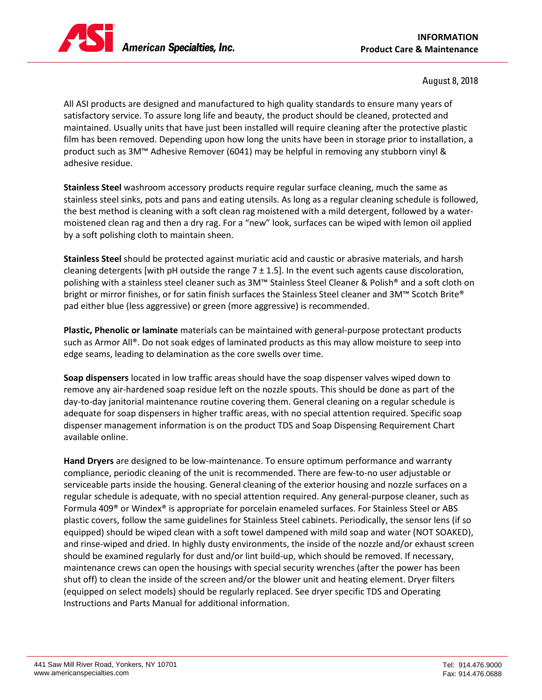

## August 8, 2018

All ASI products are designed and manufactured to high quality standards to ensure many years of satisfactory service. To assure long life and beauty, the product should be cleaned, protected and maintained. Usually units that have just been installed will require cleaning after the protective plastic film has been removed. Depending upon how long the units have been in storage prior to installation, a product such as 3M™ Adhesive Remover (6041) may be helpful in removing any stubborn vinyl & adhesive residue.

**Stainless Steel** washroom accessory products require regular surface cleaning, much the same as stainless steel sinks, pots and pans and eating utensils. As long as a regular cleaning schedule is followed, the best method is cleaning with a soft clean rag moistened with a mild detergent, followed by a watermoistened clean rag and then a dry rag. For a "new" look, surfaces can be wiped with lemon oil applied by a soft polishing cloth to maintain sheen.

**Stainless Steel** should be protected against muriatic acid and caustic or abrasive materials, and harsh cleaning detergents [with pH outside the range  $7 \pm 1.5$ ]. In the event such agents cause discoloration, polishing with a stainless steel cleaner such as 3M™ Stainless Steel Cleaner & Polish® and a soft cloth on bright or mirror finishes, or for satin finish surfaces the Stainless Steel cleaner and 3M™ Scotch Brite® pad either blue (less aggressive) or green (more aggressive) is recommended.

**Plastic, Phenolic or laminate** materials can be maintained with general-purpose protectant products such as Armor All®. Do not soak edges of laminated products as this may allow moisture to seep into edge seams, leading to delamination as the core swells over time.

**Soap dispensers** located in low traffic areas should have the soap dispenser valves wiped down to remove any air-hardened soap residue left on the nozzle spouts. This should be done as part of the day-to-day janitorial maintenance routine covering them. General cleaning on a regular schedule is adequate for soap dispensers in higher traffic areas, with no special attention required. Specific soap dispenser management information is on the product TDS and Soap Dispensing Requirement Chart available online.

**Hand Dryers** are designed to be low-maintenance. To ensure optimum performance and warranty compliance, periodic cleaning of the unit is recommended. There are few-to-no user adjustable or serviceable parts inside the housing. General cleaning of the exterior housing and nozzle surfaces on a regular schedule is adequate, with no special attention required. Any general-purpose cleaner, such as Formula 409® or Windex® is appropriate for porcelain enameled surfaces. For Stainless Steel or ABS plastic covers, follow the same guidelines for Stainless Steel cabinets. Periodically, the sensor lens (if so equipped) should be wiped clean with a soft towel dampened with mild soap and water (NOT SOAKED), and rinse-wiped and dried. In highly dusty environments, the inside of the nozzle and/or exhaust screen should be examined regularly for dust and/or lint build-up, which should be removed. If necessary, maintenance crews can open the housings with special security wrenches (after the power has been shut off) to clean the inside of the screen and/or the blower unit and heating element. Dryer filters (equipped on select models) should be regularly replaced. See dryer specific TDS and Operating Instructions and Parts Manual for additional information.